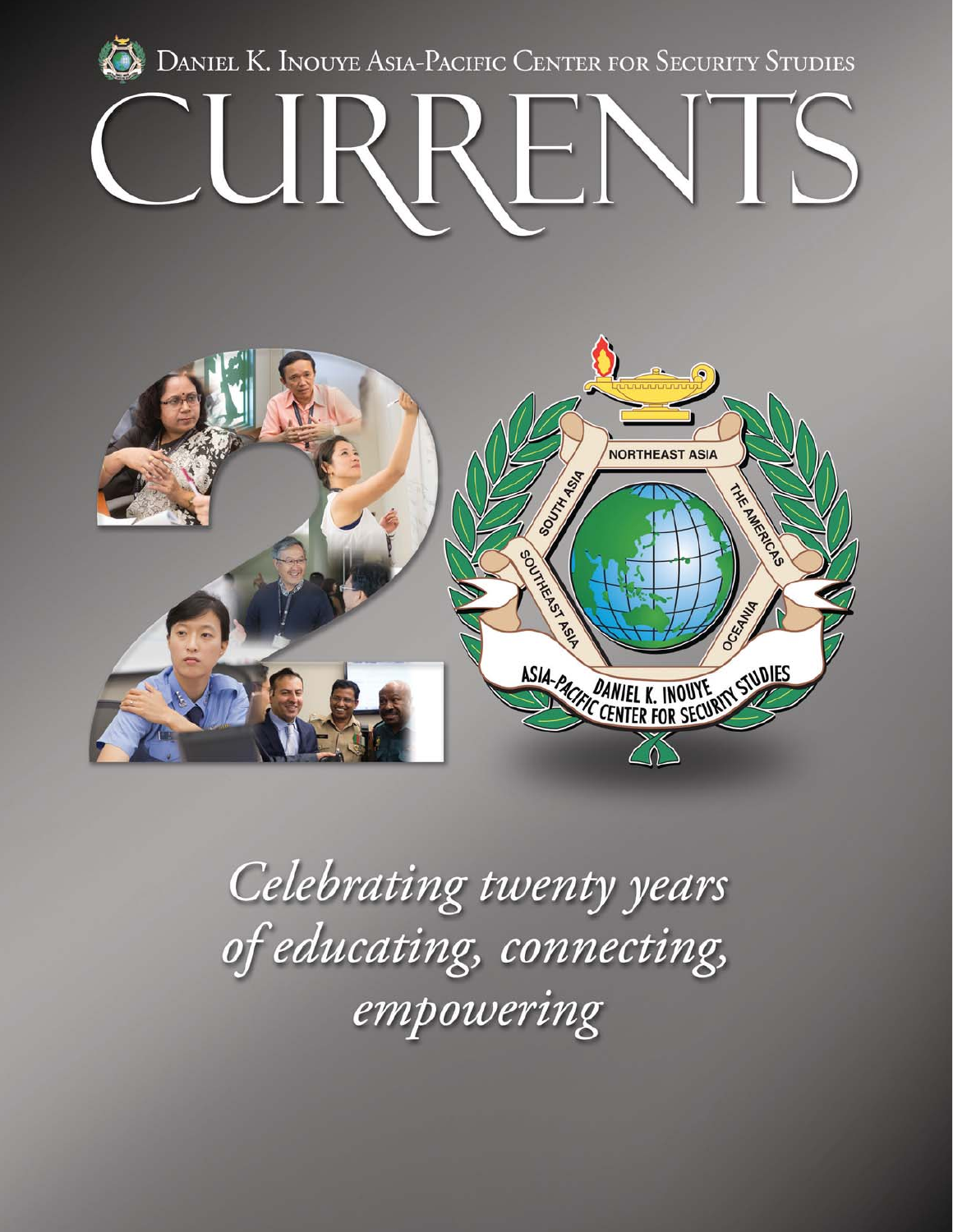



Celebrating twenty years of educating, connecting,<br>empowering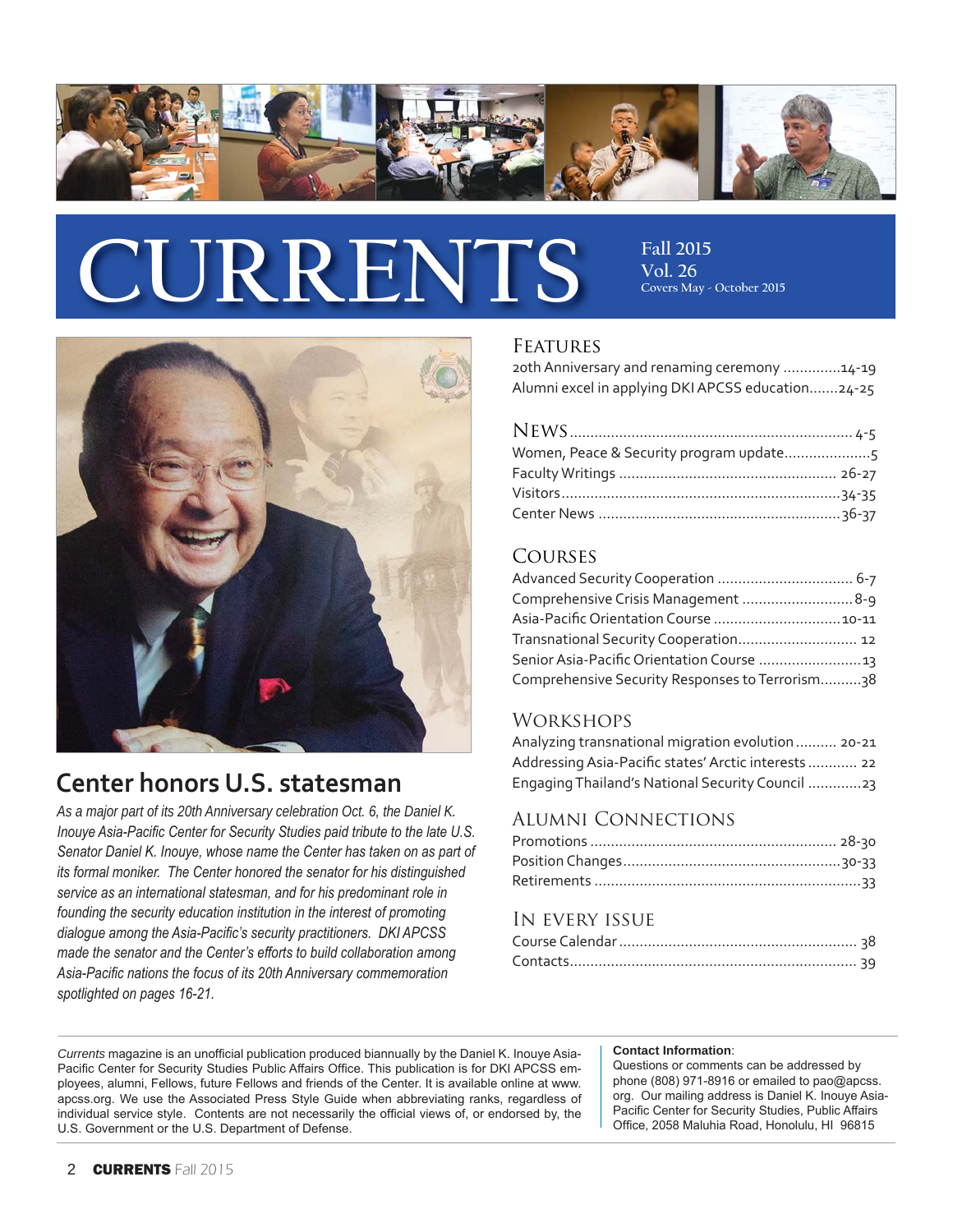

# CURRENTS Fall 2015

**Vol. 26 Covers May - October 2015**



### **Center honors U.S. statesman**

*As a major part of its 20th Anniversary celebration Oct. 6, the Daniel K.*  Inouye Asia-Pacific Center for Security Studies paid tribute to the late U.S. Senator Daniel K. Inouye, whose name the Center has taken on as part of *its formal moniker.* The Center honored the senator for his distinguished service as an international statesman, and for his predominant role in *Iounding the security education institution in the interest of promoting* dialogue among the Asia-Pacific's security practitioners. DKI APCSS *made the senator and the Center's efforts to build collaboration among* Asia-Pacific nations the focus of its 20th Anniversary commemoration spotlighted on pages 16-21.

#### **FEATURES**

20th Anniversary and renaming ceremony ..............14-19 Alumni excel in applying DKI APCSS education.......24-25

#### Courses

| Comprehensive Crisis Management  8-9            |  |
|-------------------------------------------------|--|
| Asia-Pacific Orientation Course  10-11          |  |
| Transnational Security Cooperation 12           |  |
| Senior Asia-Pacific Orientation Course  13      |  |
| Comprehensive Security Responses to Terrorism38 |  |

#### **WORKSHOPS**

| Analyzing transnational migration evolution 20-21    |
|------------------------------------------------------|
| Addressing Asia-Pacific states' Arctic interests  22 |
| Engaging Thailand's National Security Council 23     |

#### Alumni Connections

#### In every issue

*Currents* magazine is an unofficial publication produced biannually by the Daniel K. Inouye Asia-Pacific Center for Security Studies Public Affairs Office. This publication is for DKI APCSS employees, alumni, Fellows, future Fellows and friends of the Center. It is available online at www. apcss.org. We use the Associated Press Style Guide when abbreviating ranks, regardless of individual service style. Contents are not necessarily the official views of, or endorsed by, the U.S. Government or the U.S. Department of Defense.

#### **Contact Information**:

Questions or comments can be addressed by phone (808) 971-8916 or emailed to pao@apcss. org. Our mailing address is Daniel K. Inouye Asia-Pacific Center for Security Studies, Public Affairs Office, 2058 Maluhia Road, Honolulu, HI 96815